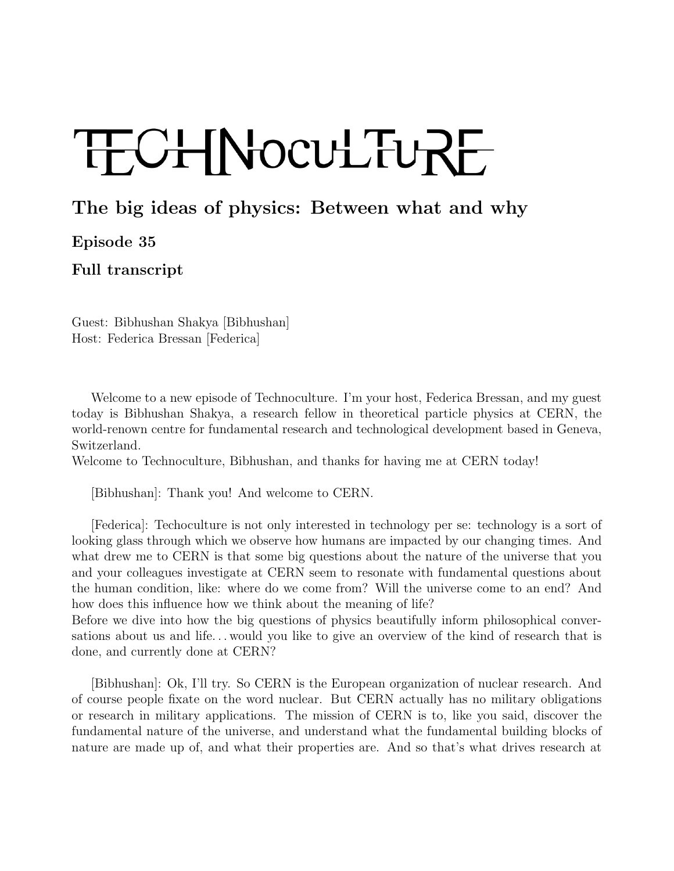## TECHNOCULTURE

## The big ideas of physics: Between what and why

Episode 35

Full transcript

Guest: Bibhushan Shakya [Bibhushan] Host: Federica Bressan [Federica]

Welcome to a new episode of Technoculture. I'm your host, Federica Bressan, and my guest today is Bibhushan Shakya, a research fellow in theoretical particle physics at CERN, the world-renown centre for fundamental research and technological development based in Geneva, Switzerland.

Welcome to Technoculture, Bibhushan, and thanks for having me at CERN today!

[Bibhushan]: Thank you! And welcome to CERN.

[Federica]: Techoculture is not only interested in technology per se: technology is a sort of looking glass through which we observe how humans are impacted by our changing times. And what drew me to CERN is that some big questions about the nature of the universe that you and your colleagues investigate at CERN seem to resonate with fundamental questions about the human condition, like: where do we come from? Will the universe come to an end? And how does this influence how we think about the meaning of life?

Before we dive into how the big questions of physics beautifully inform philosophical conversations about us and life. . . would you like to give an overview of the kind of research that is done, and currently done at CERN?

[Bibhushan]: Ok, I'll try. So CERN is the European organization of nuclear research. And of course people fixate on the word nuclear. But CERN actually has no military obligations or research in military applications. The mission of CERN is to, like you said, discover the fundamental nature of the universe, and understand what the fundamental building blocks of nature are made up of, and what their properties are. And so that's what drives research at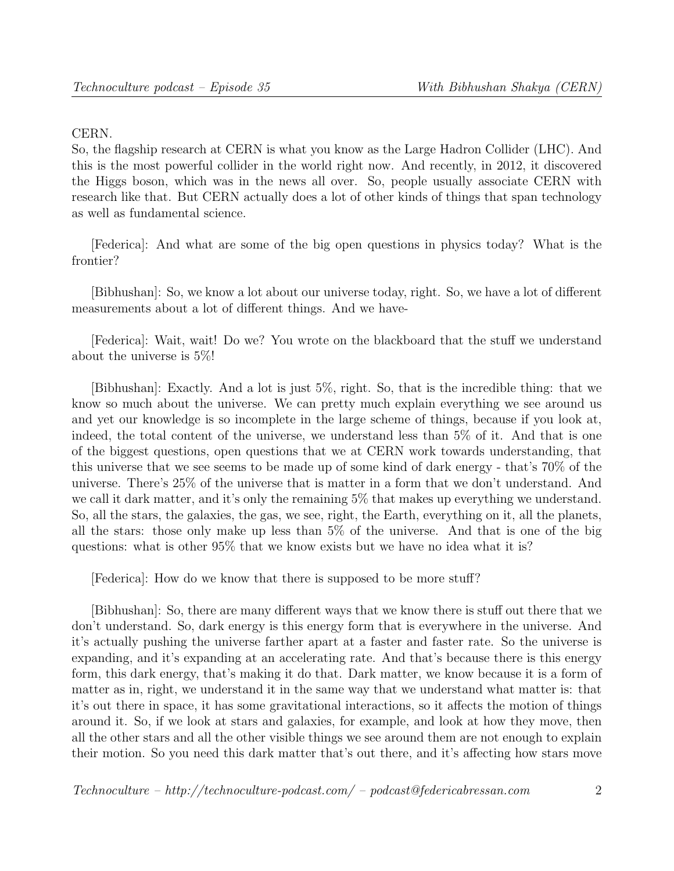## CERN.

So, the flagship research at CERN is what you know as the Large Hadron Collider (LHC). And this is the most powerful collider in the world right now. And recently, in 2012, it discovered the Higgs boson, which was in the news all over. So, people usually associate CERN with research like that. But CERN actually does a lot of other kinds of things that span technology as well as fundamental science.

[Federica]: And what are some of the big open questions in physics today? What is the frontier?

[Bibhushan]: So, we know a lot about our universe today, right. So, we have a lot of different measurements about a lot of different things. And we have-

[Federica]: Wait, wait! Do we? You wrote on the blackboard that the stuff we understand about the universe is 5%!

[Bibhushan]: Exactly. And a lot is just 5%, right. So, that is the incredible thing: that we know so much about the universe. We can pretty much explain everything we see around us and yet our knowledge is so incomplete in the large scheme of things, because if you look at, indeed, the total content of the universe, we understand less than 5% of it. And that is one of the biggest questions, open questions that we at CERN work towards understanding, that this universe that we see seems to be made up of some kind of dark energy - that's 70% of the universe. There's 25% of the universe that is matter in a form that we don't understand. And we call it dark matter, and it's only the remaining 5% that makes up everything we understand. So, all the stars, the galaxies, the gas, we see, right, the Earth, everything on it, all the planets, all the stars: those only make up less than 5% of the universe. And that is one of the big questions: what is other 95% that we know exists but we have no idea what it is?

[Federica]: How do we know that there is supposed to be more stuff?

[Bibhushan]: So, there are many different ways that we know there is stuff out there that we don't understand. So, dark energy is this energy form that is everywhere in the universe. And it's actually pushing the universe farther apart at a faster and faster rate. So the universe is expanding, and it's expanding at an accelerating rate. And that's because there is this energy form, this dark energy, that's making it do that. Dark matter, we know because it is a form of matter as in, right, we understand it in the same way that we understand what matter is: that it's out there in space, it has some gravitational interactions, so it affects the motion of things around it. So, if we look at stars and galaxies, for example, and look at how they move, then all the other stars and all the other visible things we see around them are not enough to explain their motion. So you need this dark matter that's out there, and it's affecting how stars move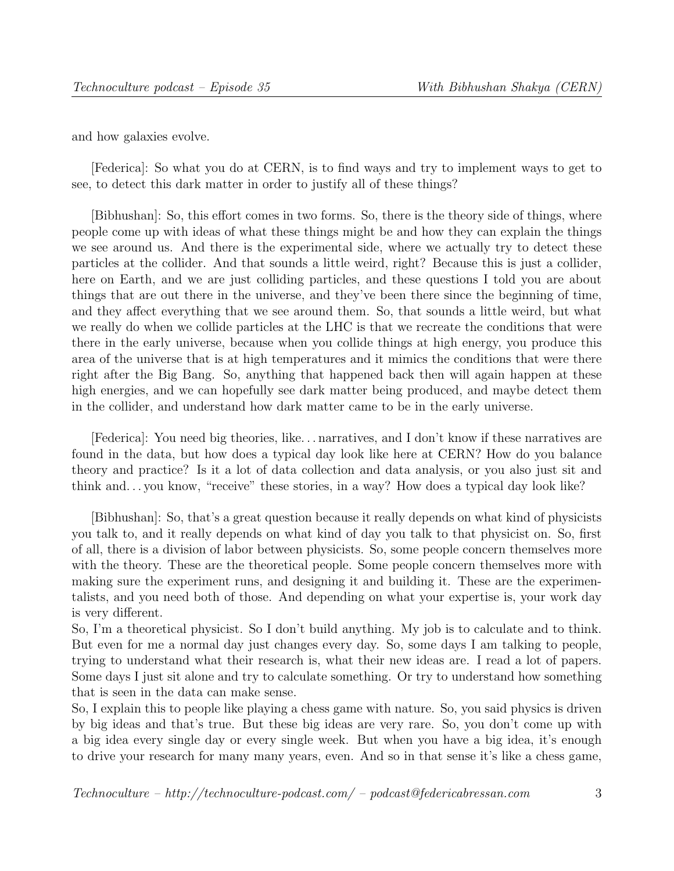and how galaxies evolve.

[Federica]: So what you do at CERN, is to find ways and try to implement ways to get to see, to detect this dark matter in order to justify all of these things?

[Bibhushan]: So, this effort comes in two forms. So, there is the theory side of things, where people come up with ideas of what these things might be and how they can explain the things we see around us. And there is the experimental side, where we actually try to detect these particles at the collider. And that sounds a little weird, right? Because this is just a collider, here on Earth, and we are just colliding particles, and these questions I told you are about things that are out there in the universe, and they've been there since the beginning of time, and they affect everything that we see around them. So, that sounds a little weird, but what we really do when we collide particles at the LHC is that we recreate the conditions that were there in the early universe, because when you collide things at high energy, you produce this area of the universe that is at high temperatures and it mimics the conditions that were there right after the Big Bang. So, anything that happened back then will again happen at these high energies, and we can hopefully see dark matter being produced, and maybe detect them in the collider, and understand how dark matter came to be in the early universe.

[Federica]: You need big theories, like. . . narratives, and I don't know if these narratives are found in the data, but how does a typical day look like here at CERN? How do you balance theory and practice? Is it a lot of data collection and data analysis, or you also just sit and think and. . . you know, "receive" these stories, in a way? How does a typical day look like?

[Bibhushan]: So, that's a great question because it really depends on what kind of physicists you talk to, and it really depends on what kind of day you talk to that physicist on. So, first of all, there is a division of labor between physicists. So, some people concern themselves more with the theory. These are the theoretical people. Some people concern themselves more with making sure the experiment runs, and designing it and building it. These are the experimentalists, and you need both of those. And depending on what your expertise is, your work day is very different.

So, I'm a theoretical physicist. So I don't build anything. My job is to calculate and to think. But even for me a normal day just changes every day. So, some days I am talking to people, trying to understand what their research is, what their new ideas are. I read a lot of papers. Some days I just sit alone and try to calculate something. Or try to understand how something that is seen in the data can make sense.

So, I explain this to people like playing a chess game with nature. So, you said physics is driven by big ideas and that's true. But these big ideas are very rare. So, you don't come up with a big idea every single day or every single week. But when you have a big idea, it's enough to drive your research for many many years, even. And so in that sense it's like a chess game,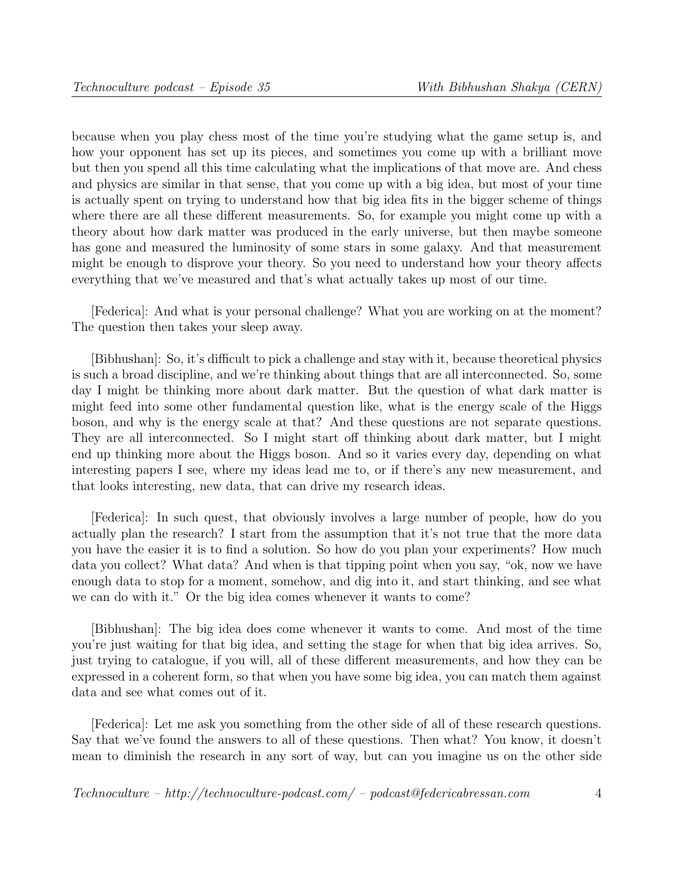because when you play chess most of the time you're studying what the game setup is, and how your opponent has set up its pieces, and sometimes you come up with a brilliant move but then you spend all this time calculating what the implications of that move are. And chess and physics are similar in that sense, that you come up with a big idea, but most of your time is actually spent on trying to understand how that big idea fits in the bigger scheme of things where there are all these different measurements. So, for example you might come up with a theory about how dark matter was produced in the early universe, but then maybe someone has gone and measured the luminosity of some stars in some galaxy. And that measurement might be enough to disprove your theory. So you need to understand how your theory affects everything that we've measured and that's what actually takes up most of our time.

[Federica]: And what is your personal challenge? What you are working on at the moment? The question then takes your sleep away.

[Bibhushan]: So, it's difficult to pick a challenge and stay with it, because theoretical physics is such a broad discipline, and we're thinking about things that are all interconnected. So, some day I might be thinking more about dark matter. But the question of what dark matter is might feed into some other fundamental question like, what is the energy scale of the Higgs boson, and why is the energy scale at that? And these questions are not separate questions. They are all interconnected. So I might start off thinking about dark matter, but I might end up thinking more about the Higgs boson. And so it varies every day, depending on what interesting papers I see, where my ideas lead me to, or if there's any new measurement, and that looks interesting, new data, that can drive my research ideas.

[Federica]: In such quest, that obviously involves a large number of people, how do you actually plan the research? I start from the assumption that it's not true that the more data you have the easier it is to find a solution. So how do you plan your experiments? How much data you collect? What data? And when is that tipping point when you say, "ok, now we have enough data to stop for a moment, somehow, and dig into it, and start thinking, and see what we can do with it." Or the big idea comes whenever it wants to come?

[Bibhushan]: The big idea does come whenever it wants to come. And most of the time you're just waiting for that big idea, and setting the stage for when that big idea arrives. So, just trying to catalogue, if you will, all of these different measurements, and how they can be expressed in a coherent form, so that when you have some big idea, you can match them against data and see what comes out of it.

[Federica]: Let me ask you something from the other side of all of these research questions. Say that we've found the answers to all of these questions. Then what? You know, it doesn't mean to diminish the research in any sort of way, but can you imagine us on the other side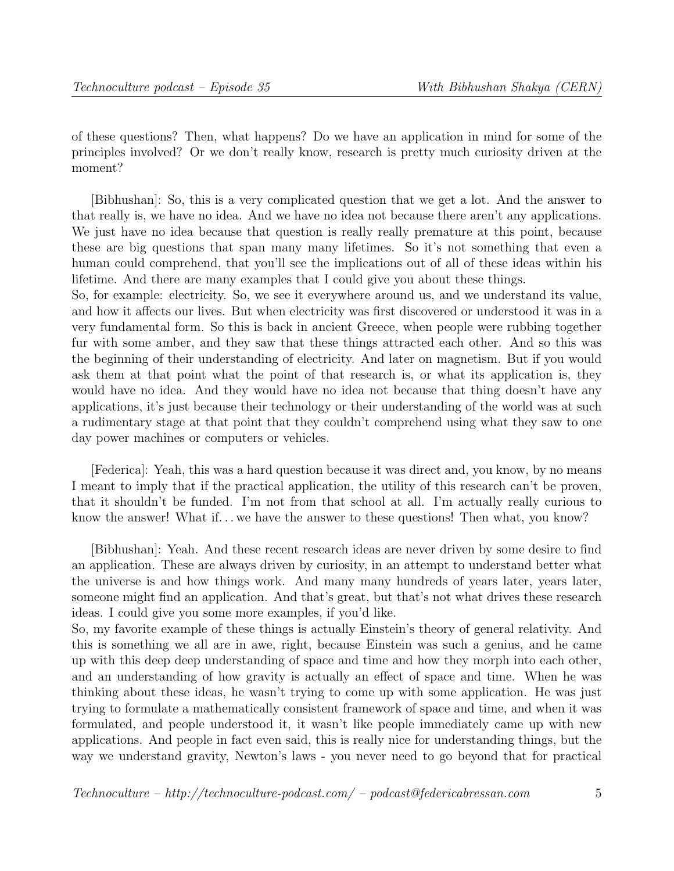of these questions? Then, what happens? Do we have an application in mind for some of the principles involved? Or we don't really know, research is pretty much curiosity driven at the moment?

[Bibhushan]: So, this is a very complicated question that we get a lot. And the answer to that really is, we have no idea. And we have no idea not because there aren't any applications. We just have no idea because that question is really really premature at this point, because these are big questions that span many many lifetimes. So it's not something that even a human could comprehend, that you'll see the implications out of all of these ideas within his lifetime. And there are many examples that I could give you about these things.

So, for example: electricity. So, we see it everywhere around us, and we understand its value, and how it affects our lives. But when electricity was first discovered or understood it was in a very fundamental form. So this is back in ancient Greece, when people were rubbing together fur with some amber, and they saw that these things attracted each other. And so this was the beginning of their understanding of electricity. And later on magnetism. But if you would ask them at that point what the point of that research is, or what its application is, they would have no idea. And they would have no idea not because that thing doesn't have any applications, it's just because their technology or their understanding of the world was at such a rudimentary stage at that point that they couldn't comprehend using what they saw to one day power machines or computers or vehicles.

[Federica]: Yeah, this was a hard question because it was direct and, you know, by no means I meant to imply that if the practical application, the utility of this research can't be proven, that it shouldn't be funded. I'm not from that school at all. I'm actually really curious to know the answer! What if... we have the answer to these questions! Then what, you know?

[Bibhushan]: Yeah. And these recent research ideas are never driven by some desire to find an application. These are always driven by curiosity, in an attempt to understand better what the universe is and how things work. And many many hundreds of years later, years later, someone might find an application. And that's great, but that's not what drives these research ideas. I could give you some more examples, if you'd like.

So, my favorite example of these things is actually Einstein's theory of general relativity. And this is something we all are in awe, right, because Einstein was such a genius, and he came up with this deep deep understanding of space and time and how they morph into each other, and an understanding of how gravity is actually an effect of space and time. When he was thinking about these ideas, he wasn't trying to come up with some application. He was just trying to formulate a mathematically consistent framework of space and time, and when it was formulated, and people understood it, it wasn't like people immediately came up with new applications. And people in fact even said, this is really nice for understanding things, but the way we understand gravity, Newton's laws - you never need to go beyond that for practical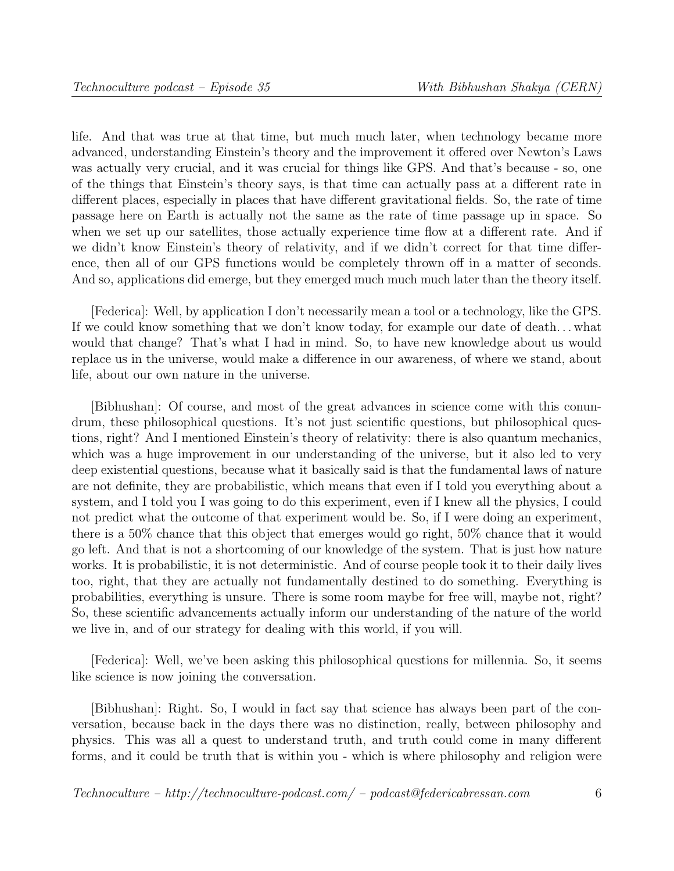life. And that was true at that time, but much much later, when technology became more advanced, understanding Einstein's theory and the improvement it offered over Newton's Laws was actually very crucial, and it was crucial for things like GPS. And that's because - so, one of the things that Einstein's theory says, is that time can actually pass at a different rate in different places, especially in places that have different gravitational fields. So, the rate of time passage here on Earth is actually not the same as the rate of time passage up in space. So when we set up our satellites, those actually experience time flow at a different rate. And if we didn't know Einstein's theory of relativity, and if we didn't correct for that time difference, then all of our GPS functions would be completely thrown off in a matter of seconds. And so, applications did emerge, but they emerged much much much later than the theory itself.

[Federica]: Well, by application I don't necessarily mean a tool or a technology, like the GPS. If we could know something that we don't know today, for example our date of death. . . what would that change? That's what I had in mind. So, to have new knowledge about us would replace us in the universe, would make a difference in our awareness, of where we stand, about life, about our own nature in the universe.

[Bibhushan]: Of course, and most of the great advances in science come with this conundrum, these philosophical questions. It's not just scientific questions, but philosophical questions, right? And I mentioned Einstein's theory of relativity: there is also quantum mechanics, which was a huge improvement in our understanding of the universe, but it also led to very deep existential questions, because what it basically said is that the fundamental laws of nature are not definite, they are probabilistic, which means that even if I told you everything about a system, and I told you I was going to do this experiment, even if I knew all the physics, I could not predict what the outcome of that experiment would be. So, if I were doing an experiment, there is a 50% chance that this object that emerges would go right, 50% chance that it would go left. And that is not a shortcoming of our knowledge of the system. That is just how nature works. It is probabilistic, it is not deterministic. And of course people took it to their daily lives too, right, that they are actually not fundamentally destined to do something. Everything is probabilities, everything is unsure. There is some room maybe for free will, maybe not, right? So, these scientific advancements actually inform our understanding of the nature of the world we live in, and of our strategy for dealing with this world, if you will.

[Federica]: Well, we've been asking this philosophical questions for millennia. So, it seems like science is now joining the conversation.

[Bibhushan]: Right. So, I would in fact say that science has always been part of the conversation, because back in the days there was no distinction, really, between philosophy and physics. This was all a quest to understand truth, and truth could come in many different forms, and it could be truth that is within you - which is where philosophy and religion were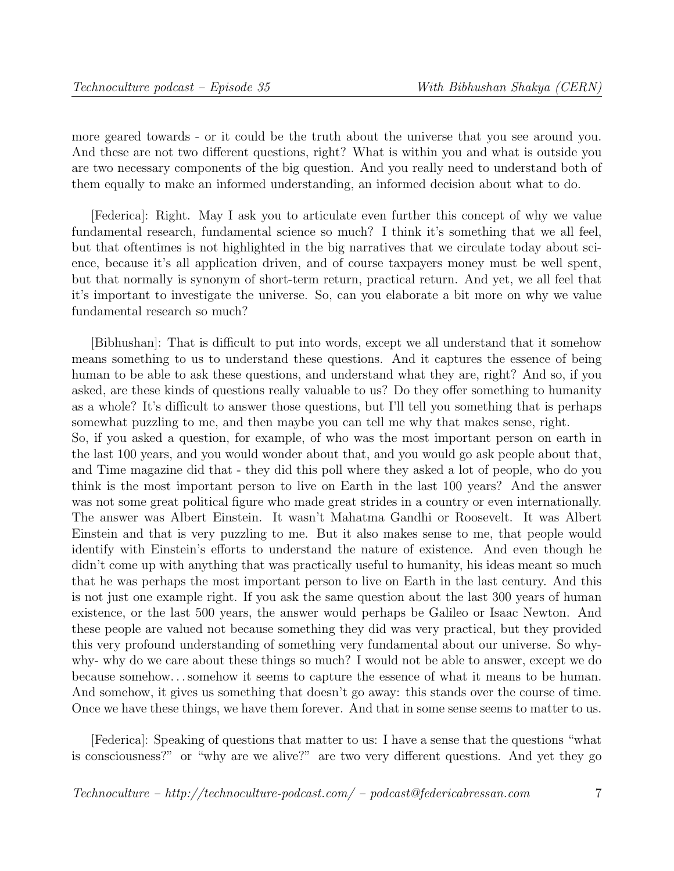more geared towards - or it could be the truth about the universe that you see around you. And these are not two different questions, right? What is within you and what is outside you are two necessary components of the big question. And you really need to understand both of them equally to make an informed understanding, an informed decision about what to do.

[Federica]: Right. May I ask you to articulate even further this concept of why we value fundamental research, fundamental science so much? I think it's something that we all feel, but that oftentimes is not highlighted in the big narratives that we circulate today about science, because it's all application driven, and of course taxpayers money must be well spent, but that normally is synonym of short-term return, practical return. And yet, we all feel that it's important to investigate the universe. So, can you elaborate a bit more on why we value fundamental research so much?

[Bibhushan]: That is difficult to put into words, except we all understand that it somehow means something to us to understand these questions. And it captures the essence of being human to be able to ask these questions, and understand what they are, right? And so, if you asked, are these kinds of questions really valuable to us? Do they offer something to humanity as a whole? It's difficult to answer those questions, but I'll tell you something that is perhaps somewhat puzzling to me, and then maybe you can tell me why that makes sense, right. So, if you asked a question, for example, of who was the most important person on earth in the last 100 years, and you would wonder about that, and you would go ask people about that, and Time magazine did that - they did this poll where they asked a lot of people, who do you think is the most important person to live on Earth in the last 100 years? And the answer was not some great political figure who made great strides in a country or even internationally. The answer was Albert Einstein. It wasn't Mahatma Gandhi or Roosevelt. It was Albert Einstein and that is very puzzling to me. But it also makes sense to me, that people would identify with Einstein's efforts to understand the nature of existence. And even though he didn't come up with anything that was practically useful to humanity, his ideas meant so much that he was perhaps the most important person to live on Earth in the last century. And this is not just one example right. If you ask the same question about the last 300 years of human existence, or the last 500 years, the answer would perhaps be Galileo or Isaac Newton. And these people are valued not because something they did was very practical, but they provided this very profound understanding of something very fundamental about our universe. So whywhy- why do we care about these things so much? I would not be able to answer, except we do because somehow. . . somehow it seems to capture the essence of what it means to be human. And somehow, it gives us something that doesn't go away: this stands over the course of time. Once we have these things, we have them forever. And that in some sense seems to matter to us.

[Federica]: Speaking of questions that matter to us: I have a sense that the questions "what is consciousness?" or "why are we alive?" are two very different questions. And yet they go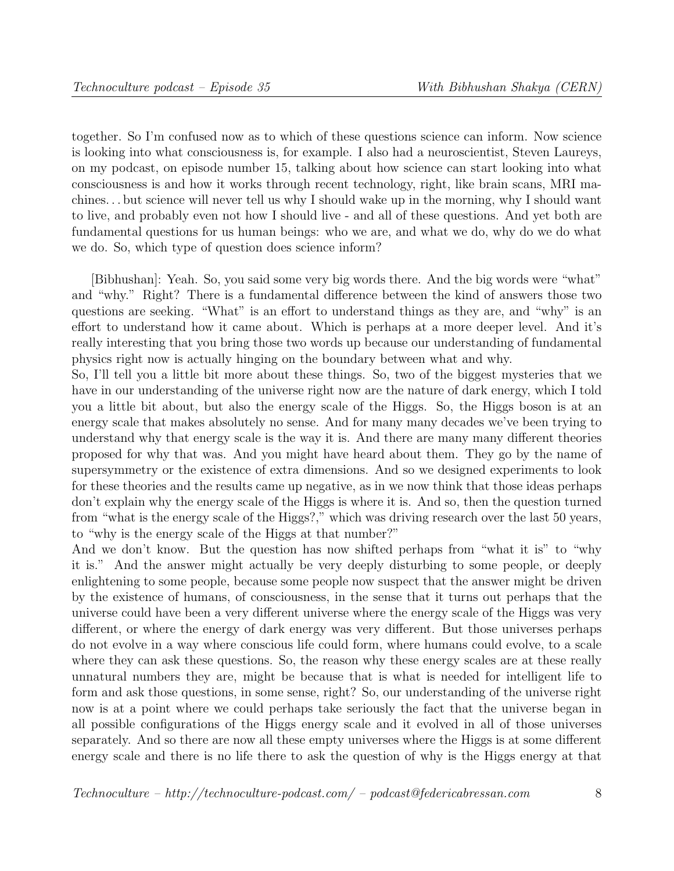together. So I'm confused now as to which of these questions science can inform. Now science is looking into what consciousness is, for example. I also had a neuroscientist, Steven Laureys, on my podcast, on episode number 15, talking about how science can start looking into what consciousness is and how it works through recent technology, right, like brain scans, MRI machines. . . but science will never tell us why I should wake up in the morning, why I should want to live, and probably even not how I should live - and all of these questions. And yet both are fundamental questions for us human beings: who we are, and what we do, why do we do what we do. So, which type of question does science inform?

[Bibhushan]: Yeah. So, you said some very big words there. And the big words were "what" and "why." Right? There is a fundamental difference between the kind of answers those two questions are seeking. "What" is an effort to understand things as they are, and "why" is an effort to understand how it came about. Which is perhaps at a more deeper level. And it's really interesting that you bring those two words up because our understanding of fundamental physics right now is actually hinging on the boundary between what and why.

So, I'll tell you a little bit more about these things. So, two of the biggest mysteries that we have in our understanding of the universe right now are the nature of dark energy, which I told you a little bit about, but also the energy scale of the Higgs. So, the Higgs boson is at an energy scale that makes absolutely no sense. And for many many decades we've been trying to understand why that energy scale is the way it is. And there are many many different theories proposed for why that was. And you might have heard about them. They go by the name of supersymmetry or the existence of extra dimensions. And so we designed experiments to look for these theories and the results came up negative, as in we now think that those ideas perhaps don't explain why the energy scale of the Higgs is where it is. And so, then the question turned from "what is the energy scale of the Higgs?," which was driving research over the last 50 years, to "why is the energy scale of the Higgs at that number?"

And we don't know. But the question has now shifted perhaps from "what it is" to "why it is." And the answer might actually be very deeply disturbing to some people, or deeply enlightening to some people, because some people now suspect that the answer might be driven by the existence of humans, of consciousness, in the sense that it turns out perhaps that the universe could have been a very different universe where the energy scale of the Higgs was very different, or where the energy of dark energy was very different. But those universes perhaps do not evolve in a way where conscious life could form, where humans could evolve, to a scale where they can ask these questions. So, the reason why these energy scales are at these really unnatural numbers they are, might be because that is what is needed for intelligent life to form and ask those questions, in some sense, right? So, our understanding of the universe right now is at a point where we could perhaps take seriously the fact that the universe began in all possible configurations of the Higgs energy scale and it evolved in all of those universes separately. And so there are now all these empty universes where the Higgs is at some different energy scale and there is no life there to ask the question of why is the Higgs energy at that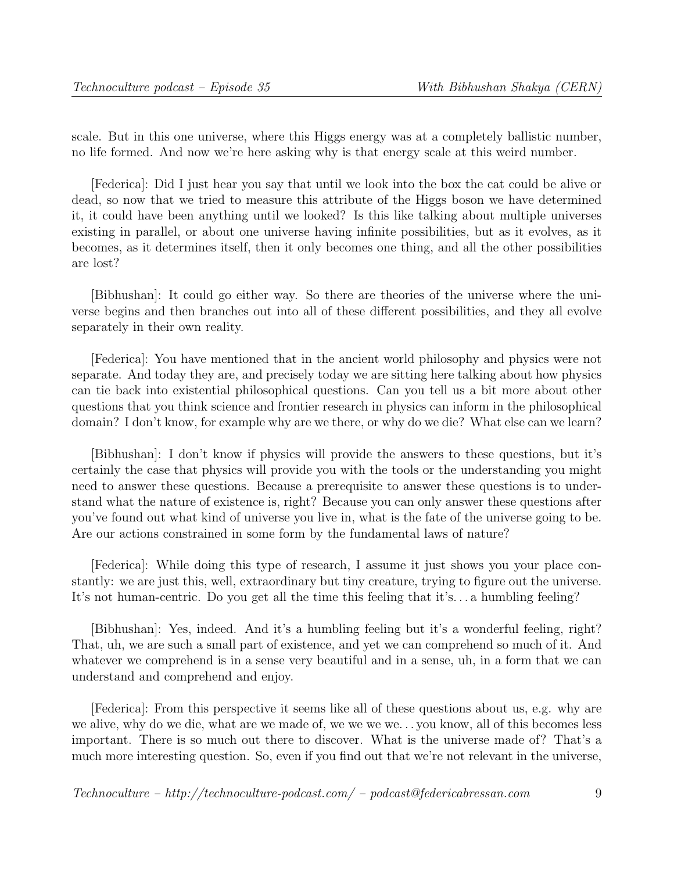scale. But in this one universe, where this Higgs energy was at a completely ballistic number, no life formed. And now we're here asking why is that energy scale at this weird number.

[Federica]: Did I just hear you say that until we look into the box the cat could be alive or dead, so now that we tried to measure this attribute of the Higgs boson we have determined it, it could have been anything until we looked? Is this like talking about multiple universes existing in parallel, or about one universe having infinite possibilities, but as it evolves, as it becomes, as it determines itself, then it only becomes one thing, and all the other possibilities are lost?

[Bibhushan]: It could go either way. So there are theories of the universe where the universe begins and then branches out into all of these different possibilities, and they all evolve separately in their own reality.

[Federica]: You have mentioned that in the ancient world philosophy and physics were not separate. And today they are, and precisely today we are sitting here talking about how physics can tie back into existential philosophical questions. Can you tell us a bit more about other questions that you think science and frontier research in physics can inform in the philosophical domain? I don't know, for example why are we there, or why do we die? What else can we learn?

[Bibhushan]: I don't know if physics will provide the answers to these questions, but it's certainly the case that physics will provide you with the tools or the understanding you might need to answer these questions. Because a prerequisite to answer these questions is to understand what the nature of existence is, right? Because you can only answer these questions after you've found out what kind of universe you live in, what is the fate of the universe going to be. Are our actions constrained in some form by the fundamental laws of nature?

[Federica]: While doing this type of research, I assume it just shows you your place constantly: we are just this, well, extraordinary but tiny creature, trying to figure out the universe. It's not human-centric. Do you get all the time this feeling that it's. . . a humbling feeling?

[Bibhushan]: Yes, indeed. And it's a humbling feeling but it's a wonderful feeling, right? That, uh, we are such a small part of existence, and yet we can comprehend so much of it. And whatever we comprehend is in a sense very beautiful and in a sense, uh, in a form that we can understand and comprehend and enjoy.

[Federica]: From this perspective it seems like all of these questions about us, e.g. why are we alive, why do we die, what are we made of, we we we we. . . you know, all of this becomes less important. There is so much out there to discover. What is the universe made of? That's a much more interesting question. So, even if you find out that we're not relevant in the universe,